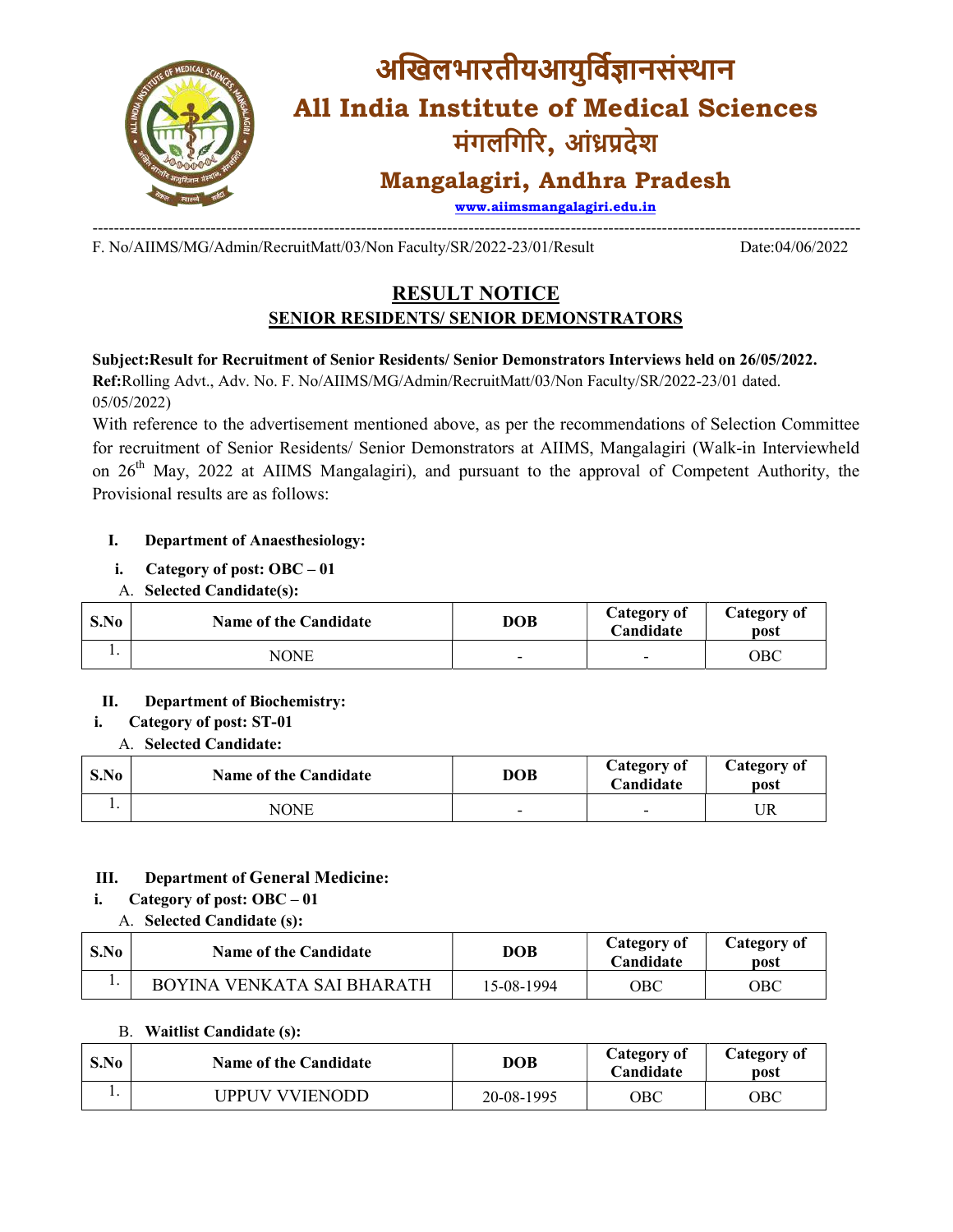

F. No/AIIMS/MG/Admin/RecruitMatt/03/Non Faculty/SR/2022-23/01/Result I

Date:04/06/2022

# SENIOR RESIDENTS/ SENIOR DEMONSTRATORS RESULT NOTICE

Subject:Result for Recruitment of Senior Residents/ Senior Demonstrators Interviews held on 26/05/2022. Ref:Rolling Advt., Adv. No. F. No/AIIMS/MG/Admin/RecruitMatt/03/Non Faculty/SR/2022-23/01 dated. 05/05/2022)

With reference to the advertisement mentioned above, as per the recommendations of Selection Committee Ref:Rolling Advt., Adv. No. F. No/AIIMS/MG/Admin/RecruitMatt/03/Non Faculty/SR/2022-23/01 dated.<br>05/05/2022)<br>With reference to the advertisement mentioned above, as per the recommendations of Selection Committee<br>for recrui on 26<sup>th</sup> May, 2022 at AIIMS Mangalagiri), and pursuant to the approval of Competent Authority, the Provisional results are as follows:

## I. Department of Anaesthesiology:

- i. Category of post: OBC 01
- A. Selected Candidate(s):

| S.No | <b>Name of the Candidate</b> | <b>DOB</b>               | Category of<br>Candidate | <b>Category of</b><br>post |
|------|------------------------------|--------------------------|--------------------------|----------------------------|
| . .  | NONE                         | $\overline{\phantom{0}}$ | $\overline{\phantom{0}}$ | ОВС                        |

#### II. Department of Biochemistry:

- i. Category of post: ST-01
	- A. Selected Candidate:

| S.No | <b>Name of the Candidate</b> | <b>DOB</b>               | Category of<br><b>Candidate</b> | Category of<br>post |
|------|------------------------------|--------------------------|---------------------------------|---------------------|
| . .  | <b>NONE</b>                  | $\overline{\phantom{a}}$ | $\overline{\phantom{0}}$        | UR                  |

## III. Department of General Medicine:

#### i. Category of post: OBC – 01

A. Selected Candidate (s):

| S.No | <b>Name of the Candidate</b> | DOB        | Category of<br><b>Candidate</b> | C <b>ategory of</b><br>post |
|------|------------------------------|------------|---------------------------------|-----------------------------|
| . .  | BOYINA VENKATA SAI BHARATH   | 15-08-1994 | ОВС                             | ОВС                         |

#### B. Waitlist Candidate (s):

| S.No | <b>Name of the Candidate</b> | DOB        | Category of<br>$C$ andidate | Category of<br>post |
|------|------------------------------|------------|-----------------------------|---------------------|
| . .  | UPPUV VVIENODD               | 20-08-1995 | ОВС                         | ОВС                 |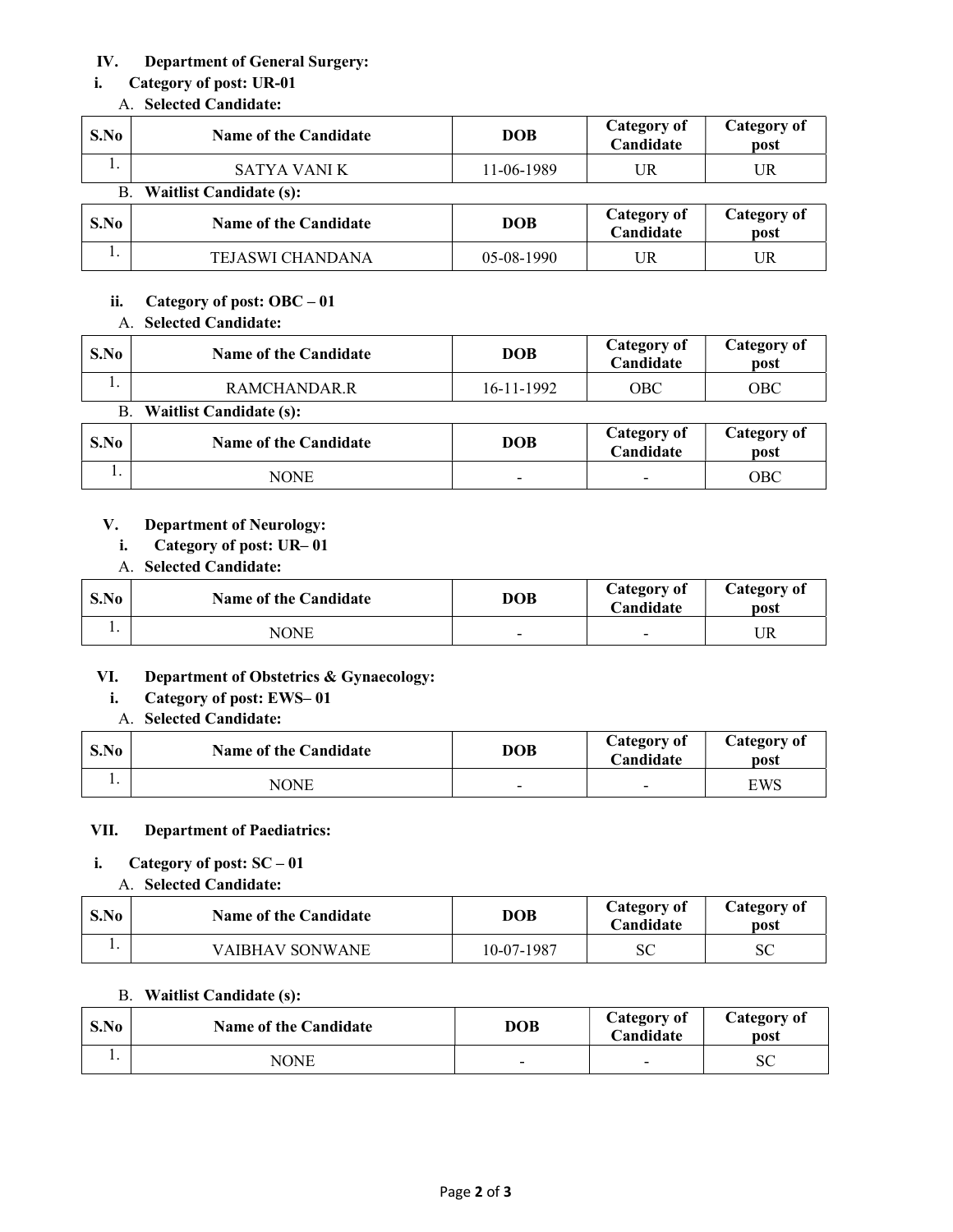## IV. Department of General Surgery:

## i. Category of post: UR-01

### A. Selected Candidate:

| S.No | Name of the Candidate          | <b>DOB</b> | Category of<br>Candidate | Category of<br>post        |
|------|--------------------------------|------------|--------------------------|----------------------------|
| . .  | SATYA VANI K                   | 11-06-1989 | UR                       | UR                         |
| В.   | <b>Waitlist Candidate (s):</b> |            |                          |                            |
| S.No | Name of the Candidate          | <b>DOB</b> | Category of<br>Candidate | <b>Category of</b><br>post |
|      | <b>TEJASWI CHANDANA</b>        | 05-08-1990 | UR                       | UR                         |

# ii. Category of post: OBC – 01

### A. Selected Candidate:

| S.No | <b>Name of the Candidate</b>   | <b>DOB</b> | Category of<br>Candidate        | <b>Category of</b><br>post |
|------|--------------------------------|------------|---------------------------------|----------------------------|
| .,   | RAMCHANDAR.R                   | 16-11-1992 | <b>OBC</b>                      | <b>OBC</b>                 |
| В.   | <b>Waitlist Candidate (s):</b> |            |                                 |                            |
| S.No | <b>Name of the Candidate</b>   | <b>DOB</b> | <b>Category of</b><br>Candidate | <b>Category of</b><br>post |
|      | <b>NONE</b>                    |            | $\overline{\phantom{0}}$        | <b>OBC</b>                 |

# V. Department of Neurology:

- i. Category of post: UR– 01
- A. Selected Candidate:

| S.No | <b>Name of the Candidate</b> | DOB                      | Category of<br>Candidate | Category of<br>post |
|------|------------------------------|--------------------------|--------------------------|---------------------|
|      | NONE                         | $\overline{\phantom{0}}$ | $\overline{\phantom{0}}$ | UR                  |

# VI. Department of Obstetrics & Gynaecology:

- i. Category of post: EWS– 01
- A. Selected Candidate:

| S.No | <b>Name of the Candidate</b> | DOB                      | Category of<br>Candidate | Category of<br>post |
|------|------------------------------|--------------------------|--------------------------|---------------------|
|      | <b>NONE</b>                  | $\overline{\phantom{0}}$ |                          | EWS                 |

## VII. Department of Paediatrics:

## i. Category of post: SC – 01

#### A. Selected Candidate:

| S.No | <b>Name of the Candidate</b> | DOB        | Category of<br>Candidate | Category of<br>post     |
|------|------------------------------|------------|--------------------------|-------------------------|
|      | <b>VAIBHAV SONWANE</b>       | 10-07-1987 |                          | $\mathbf{C} \cap$<br>υU |

## B. Waitlist Candidate (s):

| S.No | <b>Name of the Candidate</b> | <b>DOB</b> | <b>Category of</b><br><b>Candidate</b> | Category of<br>post |
|------|------------------------------|------------|----------------------------------------|---------------------|
|      | NONE                         |            | $\,$                                   | SС                  |